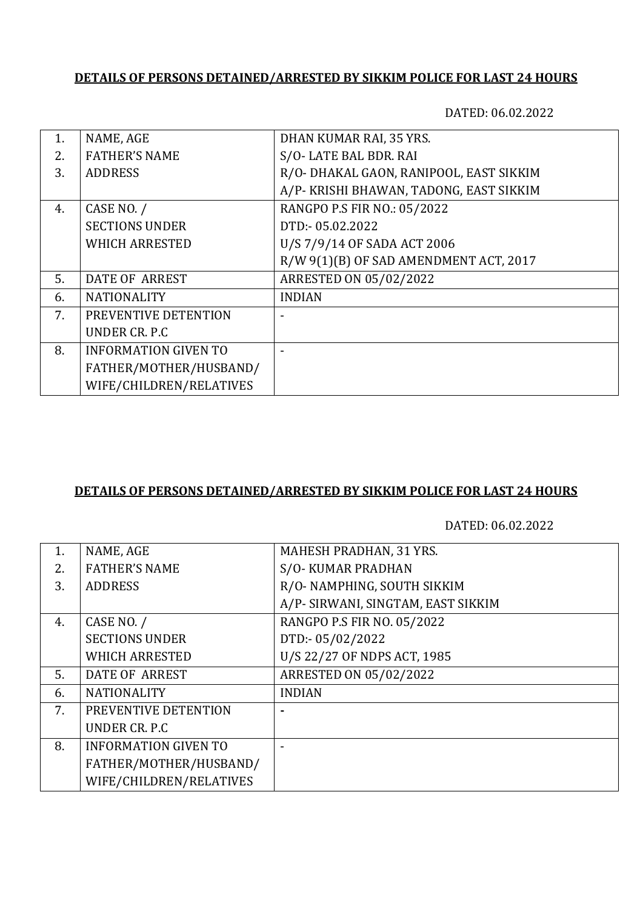DATED: 06.02.2022

| 1. | NAME, AGE                   | DHAN KUMAR RAI, 35 YRS.                 |
|----|-----------------------------|-----------------------------------------|
| 2. | <b>FATHER'S NAME</b>        | S/O-LATE BAL BDR. RAI                   |
| 3. | <b>ADDRESS</b>              | R/O- DHAKAL GAON, RANIPOOL, EAST SIKKIM |
|    |                             | A/P- KRISHI BHAWAN, TADONG, EAST SIKKIM |
| 4. | CASE NO. /                  | RANGPO P.S FIR NO.: 05/2022             |
|    | <b>SECTIONS UNDER</b>       | DTD:-05.02.2022                         |
|    | <b>WHICH ARRESTED</b>       | U/S 7/9/14 OF SADA ACT 2006             |
|    |                             | R/W 9(1)(B) OF SAD AMENDMENT ACT, 2017  |
| 5. | <b>DATE OF ARREST</b>       | <b>ARRESTED ON 05/02/2022</b>           |
| 6. | <b>NATIONALITY</b>          | <b>INDIAN</b>                           |
| 7. | PREVENTIVE DETENTION        |                                         |
|    | UNDER CR. P.C               |                                         |
| 8. | <b>INFORMATION GIVEN TO</b> |                                         |
|    | FATHER/MOTHER/HUSBAND/      |                                         |
|    | WIFE/CHILDREN/RELATIVES     |                                         |
|    |                             |                                         |

### **DETAILS OF PERSONS DETAINED/ARRESTED BY SIKKIM POLICE FOR LAST 24 HOURS**

| 1. | NAME, AGE                   | <b>MAHESH PRADHAN, 31 YRS.</b>     |
|----|-----------------------------|------------------------------------|
| 2. | <b>FATHER'S NAME</b>        | S/O-KUMAR PRADHAN                  |
| 3. | <b>ADDRESS</b>              | R/O- NAMPHING, SOUTH SIKKIM        |
|    |                             | A/P- SIRWANI, SINGTAM, EAST SIKKIM |
| 4. | CASE NO. /                  | RANGPO P.S FIR NO. 05/2022         |
|    | <b>SECTIONS UNDER</b>       | DTD:-05/02/2022                    |
|    | <b>WHICH ARRESTED</b>       | U/S 22/27 OF NDPS ACT, 1985        |
| 5. | <b>DATE OF ARREST</b>       | ARRESTED ON 05/02/2022             |
| 6. | <b>NATIONALITY</b>          | <b>INDIAN</b>                      |
| 7. | PREVENTIVE DETENTION        |                                    |
|    | UNDER CR. P.C               |                                    |
| 8. | <b>INFORMATION GIVEN TO</b> |                                    |
|    | FATHER/MOTHER/HUSBAND/      |                                    |
|    | WIFE/CHILDREN/RELATIVES     |                                    |
|    |                             |                                    |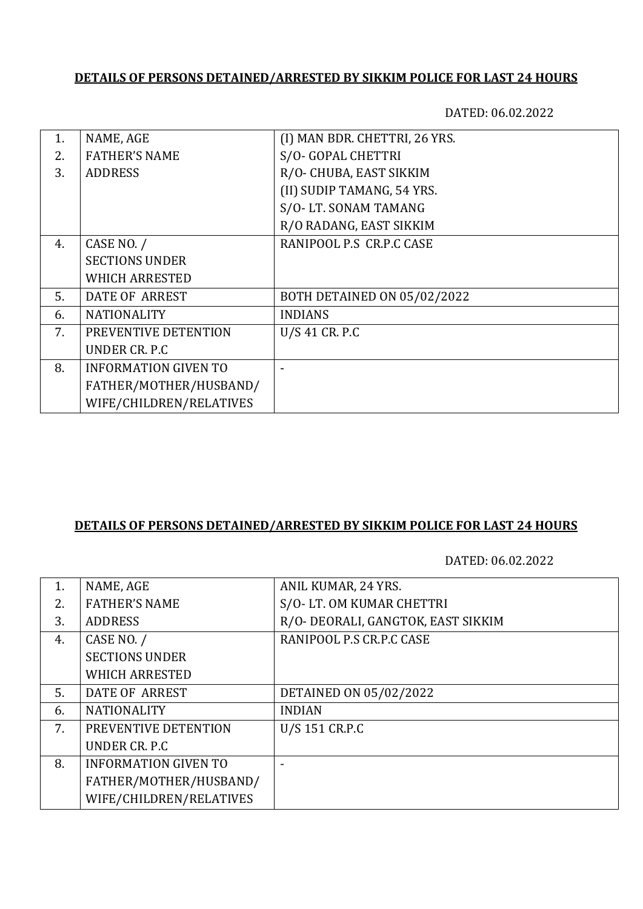DATED: 06.02.2022

| 1. | NAME, AGE                   | (I) MAN BDR. CHETTRI, 26 YRS. |
|----|-----------------------------|-------------------------------|
| 2. | <b>FATHER'S NAME</b>        | S/O- GOPAL CHETTRI            |
| 3. | <b>ADDRESS</b>              | R/O- CHUBA, EAST SIKKIM       |
|    |                             | (II) SUDIP TAMANG, 54 YRS.    |
|    |                             | S/O-LT. SONAM TAMANG          |
|    |                             | R/O RADANG, EAST SIKKIM       |
| 4. | CASE NO. /                  | RANIPOOL P.S CR.P.C CASE      |
|    | <b>SECTIONS UNDER</b>       |                               |
|    | <b>WHICH ARRESTED</b>       |                               |
| 5. | DATE OF ARREST              | BOTH DETAINED ON 05/02/2022   |
| 6. | <b>NATIONALITY</b>          | <b>INDIANS</b>                |
| 7. | PREVENTIVE DETENTION        | U/S 41 CR. P.C                |
|    | UNDER CR. P.C.              |                               |
| 8. | <b>INFORMATION GIVEN TO</b> |                               |
|    | FATHER/MOTHER/HUSBAND/      |                               |
|    | WIFE/CHILDREN/RELATIVES     |                               |
|    |                             |                               |

#### **DETAILS OF PERSONS DETAINED/ARRESTED BY SIKKIM POLICE FOR LAST 24 HOURS**

| 1. | NAME, AGE                   | ANIL KUMAR, 24 YRS.                |
|----|-----------------------------|------------------------------------|
| 2. | <b>FATHER'S NAME</b>        | S/O-LT. OM KUMAR CHETTRI           |
| 3. | <b>ADDRESS</b>              | R/O- DEORALI, GANGTOK, EAST SIKKIM |
| 4. | CASE NO. /                  | RANIPOOL P.S CR.P.C CASE           |
|    | <b>SECTIONS UNDER</b>       |                                    |
|    | <b>WHICH ARRESTED</b>       |                                    |
| 5. | DATE OF ARREST              | DETAINED ON 05/02/2022             |
| 6. | <b>NATIONALITY</b>          | <b>INDIAN</b>                      |
| 7. | PREVENTIVE DETENTION        | U/S 151 CR.P.C                     |
|    | UNDER CR. P.C.              |                                    |
| 8. | <b>INFORMATION GIVEN TO</b> |                                    |
|    | FATHER/MOTHER/HUSBAND/      |                                    |
|    | WIFE/CHILDREN/RELATIVES     |                                    |
|    |                             |                                    |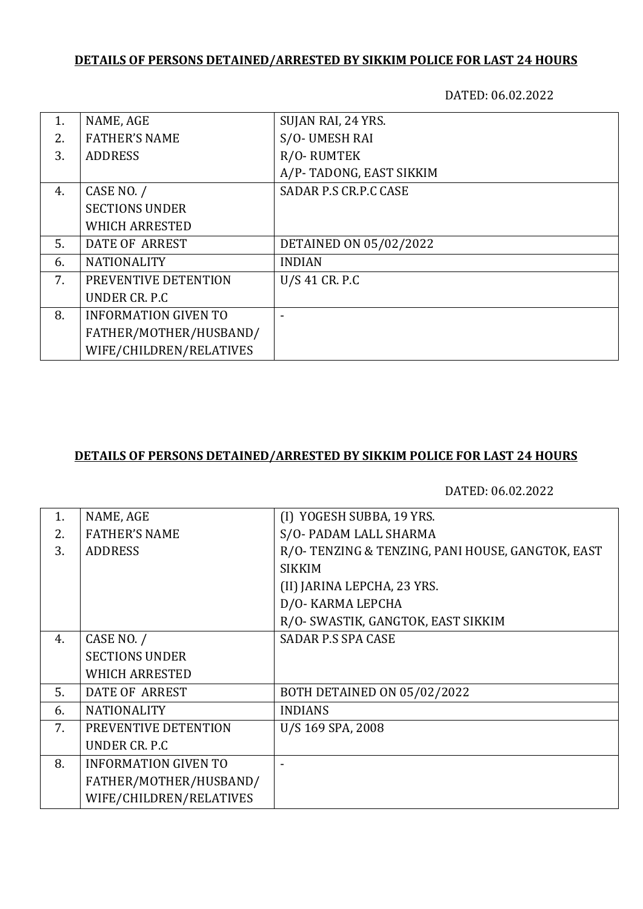DATED: 06.02.2022

| 1. | NAME, AGE                   | SUJAN RAI, 24 YRS.      |
|----|-----------------------------|-------------------------|
| 2. | <b>FATHER'S NAME</b>        | S/O- UMESH RAI          |
| 3. | <b>ADDRESS</b>              | R/O-RUMTEK              |
|    |                             | A/P-TADONG, EAST SIKKIM |
| 4. | CASE NO. /                  | SADAR P.S CR.P.C CASE   |
|    | <b>SECTIONS UNDER</b>       |                         |
|    | <b>WHICH ARRESTED</b>       |                         |
| 5. | <b>DATE OF ARREST</b>       | DETAINED ON 05/02/2022  |
| 6. | <b>NATIONALITY</b>          | <b>INDIAN</b>           |
| 7. | PREVENTIVE DETENTION        | U/S 41 CR. P.C          |
|    | UNDER CR. P.C.              |                         |
| 8. | <b>INFORMATION GIVEN TO</b> |                         |
|    | FATHER/MOTHER/HUSBAND/      |                         |
|    | WIFE/CHILDREN/RELATIVES     |                         |

## **DETAILS OF PERSONS DETAINED/ARRESTED BY SIKKIM POLICE FOR LAST 24 HOURS**

| 1. | NAME, AGE                   | (I) YOGESH SUBBA, 19 YRS.                        |
|----|-----------------------------|--------------------------------------------------|
| 2. | <b>FATHER'S NAME</b>        | S/O- PADAM LALL SHARMA                           |
| 3. | <b>ADDRESS</b>              | R/O-TENZING & TENZING, PANI HOUSE, GANGTOK, EAST |
|    |                             | <b>SIKKIM</b>                                    |
|    |                             | (II) JARINA LEPCHA, 23 YRS.                      |
|    |                             | D/O- KARMA LEPCHA                                |
|    |                             | R/O- SWASTIK, GANGTOK, EAST SIKKIM               |
| 4. | CASE NO. /                  | <b>SADAR P.S SPA CASE</b>                        |
|    | <b>SECTIONS UNDER</b>       |                                                  |
|    | <b>WHICH ARRESTED</b>       |                                                  |
| 5. | <b>DATE OF ARREST</b>       | BOTH DETAINED ON 05/02/2022                      |
| 6. | <b>NATIONALITY</b>          | <b>INDIANS</b>                                   |
| 7. | PREVENTIVE DETENTION        | U/S 169 SPA, 2008                                |
|    | UNDER CR. P.C.              |                                                  |
| 8. | <b>INFORMATION GIVEN TO</b> |                                                  |
|    | FATHER/MOTHER/HUSBAND/      |                                                  |
|    | WIFE/CHILDREN/RELATIVES     |                                                  |